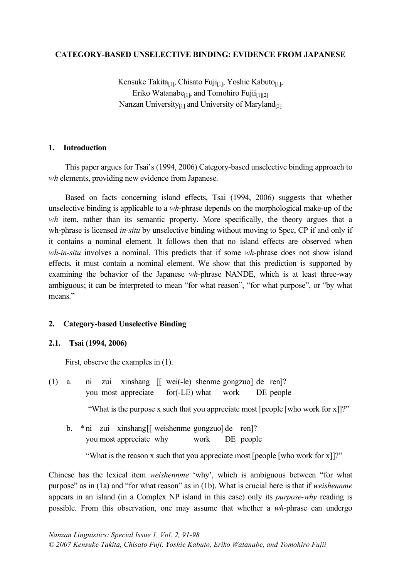### **CATEGORY-BASED UNSELECTIVE BINDING: EVIDENCE FROM JAPANESE**

Kensuke Takita<sub>[1]</sub>, Chisato Fuji<sub>[1]</sub>, Yoshie Kabuto<sub>[1]</sub>, Eriko Watanabe $_{[1]}$ , and Tomohiro Fujii $_{[1][2]}$ Nanzan University $_{[1]}$  and University of Maryland $_{[2]}$ 

### **1. Introduction**

This paper argues for Tsai's (1994, 2006) Category-based unselective binding approach to *wh* elements, providing new evidence from Japanese.

Based on facts concerning island effects, Tsai (1994, 2006) suggests that whether unselective binding is applicable to a *wh*-phrase depends on the morphological make-up of the *wh* item, rather than its semantic property. More specifically, the theory argues that a wh-phrase is licensed *in-situ* by unselective binding without moving to Spec, CP if and only if it contains a nominal element. It follows then that no island effects are observed when *wh-in-situ* involves a nominal. This predicts that if some *wh*-phrase does not show island effects, it must contain a nominal element. We show that this prediction is supported by examining the behavior of the Japanese *wh*-phrase NANDE, which is at least three-way ambiguous; it can be interpreted to mean "for what reason", "for what purpose", or "by what means."

## **2. Category-based Unselective Binding**

### **2.1. Tsai (1994, 2006)**

First, observe the examples in (1).

(1) a. ni zui xinshang [[ wei(-le) shenme gongzuo] de ren]? you most appreciate for(-LE) what work DE people

"What is the purpose x such that you appreciate most [people [who work for x]]?"

b. \* ni zui xinshang[[ weishenme gongzuo] de ren]? you most appreciate why work DE people

"What is the reason x such that you appreciate most [people [who work for x]]?"

Chinese has the lexical item *weishennme* 'why', which is ambiguous between "for what purpose" as in (1a) and "for what reason" as in (1b). What is crucial here is that if *weishennme* appears in an island (in a Complex NP island in this case) only its *purpose-why* reading is possible. From this observation, one may assume that whether a *wh*-phrase can undergo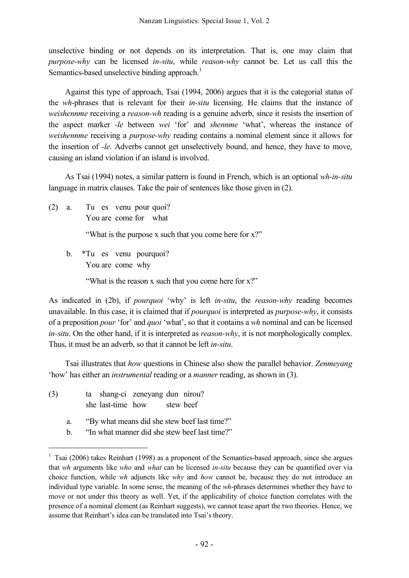unselective binding or not depends on its interpretation. That is, one may claim that *purpose-why* can be licensed *in-situ*, while *reason-why* cannot be. Let us call this the Semantics-based unselective binding approach.<sup>1</sup>

Against this type of approach, Tsai (1994, 2006) argues that it is the categorial status of the *wh*-phrases that is relevant for their *in-situ* licensing. He claims that the instance of *weishennme* receiving a *reason-wh* reading is a genuine adverb, since it resists the insertion of the aspect marker *-le* between *wei* 'for' and *shennme* 'what', whereas the instance of *weishennme* receiving a *purpose-why* reading contains a nominal element since it allows for the insertion of *-le*. Adverbs cannot get unselectively bound, and hence, they have to move, causing an island violation if an island is involved.

As Tsai (1994) notes, a similar pattern is found in French, which is an optional *wh-in-situ* language in matrix clauses. Take the pair of sentences like those given in (2).

(2) a. Tu es venu pour quoi? You are come for what

"What is the purpose x such that you come here for x?"

b. \*Tu es venu pourquoi? You are come why

"What is the reason x such that you come here for x?"

As indicated in (2b), if *pourquoi* 'why' is left *in-situ*, the *reason-why* reading becomes unavailable. In this case, it is claimed that if *pourquoi* is interpreted as *purpose-why*, it consists of a preposition *pour* 'for' and *quoi* 'what', so that it contains a *wh* nominal and can be licensed *in-situ*. On the other hand, if it is interpreted as *reason-why*, it is not morphologically complex. Thus, it must be an adverb, so that it cannot be left *in-situ*.

Tsai illustrates that *how* questions in Chinese also show the parallel behavior. *Zenmeyang* 'how' has either an *instrumental* reading or a *manner* reading, as shown in (3).

- (3) ta shang-ci zeneyang dun nirou? she last-time how stew beef
	- a. "By what means did she stew beef last time?"
	- b. "In what manner did she stew beef last time?"

<sup>&</sup>lt;sup>1</sup> Tsai (2006) takes Reinhart (1998) as a proponent of the Semantics-based approach, since she argues that *wh* arguments like *who* and *what* can be licensed *in-situ* because they can be quantified over via choice function, while *wh* adjuncts like *why* and *how* cannot be, because they do not introduce an individual type variable. In some sense, the meaning of the *wh*-phrases determines whether they have to move or not under this theory as well. Yet, if the applicability of choice function correlates with the presence of a nominal element (as Reinhart suggests), we cannot tease apart the two theories. Hence, we assume that Reinhart's idea can be translated into Tsai's theory.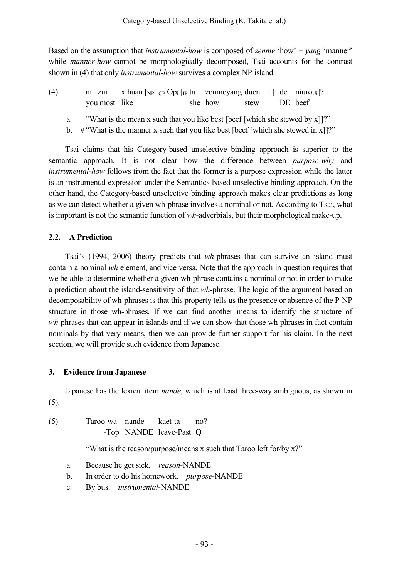Based on the assumption that *instrumental-how* is composed of *zenme* 'how' + *yang* 'manner' while *manner-how* cannot be morphologically decomposed, Tsai accounts for the contrast shown in (4) that only *instrumental-how* survives a complex NP island.

| (4) |                                                                              | ni zui xihuan $\lceil_{NP}\rceil_{CP}$ Op <sub>i</sub> $\lceil_{IP}\rceil$ ta zenmeyang duen t <sub>i</sub> de niurou <sub>i</sub> ? |  |              |  |         |  |
|-----|------------------------------------------------------------------------------|--------------------------------------------------------------------------------------------------------------------------------------|--|--------------|--|---------|--|
|     | you most like                                                                |                                                                                                                                      |  | she how stew |  | DE beef |  |
| a.  | "What is the mean x such that you like best [beef [which she stewed by x]]?" |                                                                                                                                      |  |              |  |         |  |

b.  $\#$ "What is the manner x such that you like best [beef [which she stewed in x]]?"

Tsai claims that his Category-based unselective binding approach is superior to the semantic approach. It is not clear how the difference between *purpose-why* and *instrumental-how* follows from the fact that the former is a purpose expression while the latter is an instrumental expression under the Semantics-based unselective binding approach. On the other hand, the Category-based unselective binding approach makes clear predictions as long as we can detect whether a given wh-phrase involves a nominal or not. According to Tsai, what is important is not the semantic function of *wh*-adverbials, but their morphological make-up.

## **2.2. A Prediction**

Tsai's (1994, 2006) theory predicts that *wh*-phrases that can survive an island must contain a nominal *wh* element, and vice versa. Note that the approach in question requires that we be able to determine whether a given wh-phrase contains a nominal or not in order to make a prediction about the island-sensitivity of that *wh*-phrase. The logic of the argument based on decomposability of wh-phrases is that this property tells us the presence or absence of the P-NP structure in those wh-phrases. If we can find another means to identify the structure of *wh*-phrases that can appear in islands and if we can show that those wh-phrases in fact contain nominals by that very means, then we can provide further support for his claim. In the next section, we will provide such evidence from Japanese.

## **3. Evidence from Japanese**

Japanese has the lexical item *nande*, which is at least three-way ambiguous, as shown in (5).

(5) Taroo-wa nande kaet-ta no? -Top NANDE leave-Past Q

"What is the reason/purpose/means x such that Taroo left for/by x?"

- a. Because he got sick. *reason*-NANDE
- b. In order to do his homework. *purpose*-NANDE
- c. By bus. *instrumental*-NANDE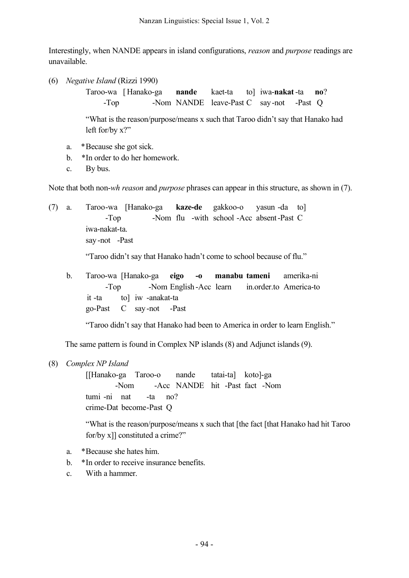Interestingly, when NANDE appears in island configurations, *reason* and *purpose* readings are unavailable.

(6) *Negative Island* (Rizzi 1990)

Taroo-wa [ Hanako-ga **nande** kaet-ta to] iwa-**nakat** -ta **no**? -Top -Nom NANDE leave-Past C say-not -Past Q

"What is the reason/purpose/means x such that Taroo didn't say that Hanako had left for/by x?"

- a. \*Because she got sick.
- b. \*In order to do her homework.
- c. By bus.

Note that both non-*wh reason* and *purpose* phrases can appear in this structure, as shown in (7).

(7) a. Taroo-wa [Hanako-ga **kaze-de** gakkoo-o yasun -da to] -Top -Nom flu -with school -Acc absent-Past C iwa-nakat-ta. say -not -Past

"Taroo didn't say that Hanako hadn't come to school because of flu."

b. Taroo-wa [Hanako-ga **eigo -o manabu tameni** amerika-ni -Top -Nom English -Acc learn in.order.to America-to it -ta to] iw -anakat-ta go-Past C say-not -Past

"Taroo didn't say that Hanako had been to America in order to learn English."

The same pattern is found in Complex NP islands (8) and Adjunct islands (9).

(8) *Complex NP Island*

[[Hanako-ga Taroo-o nande tatai-ta] koto]-ga -Nom -Acc NANDE hit -Past fact -Nom tumi -ni nat -ta no? crime-Dat become-Past Q

"What is the reason/purpose/means x such that [the fact [that Hanako had hit Taroo for/by x]] constituted a crime?"

- a. \*Because she hates him.
- b. \*In order to receive insurance benefits.
- c. With a hammer.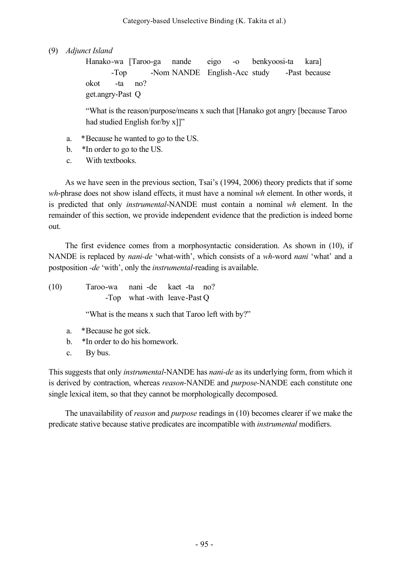(9) *Adjunct Island*

Hanako-wa [Taroo-ga nande eigo -o benkyoosi-ta kara] -Top -Nom NANDE English-Acc study -Past because okot -ta no? get.angry-Past Q

"What is the reason/purpose/means x such that [Hanako got angry [because Taroo had studied English for/by x]]"

- a. \*Because he wanted to go to the US.
- b. \*In order to go to the US.
- c. With textbooks.

As we have seen in the previous section, Tsai's (1994, 2006) theory predicts that if some *wh*-phrase does not show island effects, it must have a nominal *wh* element. In other words, it is predicted that only *instrumental*-NANDE must contain a nominal *wh* element. In the remainder of this section, we provide independent evidence that the prediction is indeed borne out.

The first evidence comes from a morphosyntactic consideration. As shown in (10), if NANDE is replaced by *nani-de* 'what-with', which consists of a *wh*-word *nani* 'what' and a postposition *-de* 'with', only the *instrumental*-reading is available.

(10) Taroo-wa nani -de kaet -ta no? -Top what -with leave-Past Q

"What is the means x such that Taroo left with by?"

- a. \*Because he got sick.
- b. \*In order to do his homework.
- c. By bus.

This suggests that only *instrumental*-NANDE has *nani-de* as its underlying form, from which it is derived by contraction, whereas *reason-*NANDE and *purpose-*NANDE each constitute one single lexical item, so that they cannot be morphologically decomposed.

The unavailability of *reason* and *purpose* readings in (10) becomes clearer if we make the predicate stative because stative predicates are incompatible with *instrumental* modifiers.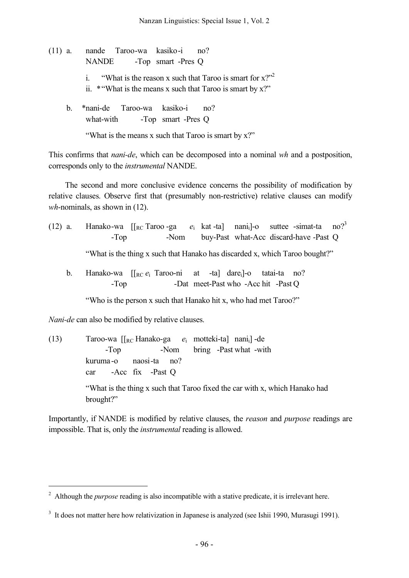- (11) a. nande Taroo-wa kasiko-i no? NANDE -Top smart -Pres Q i. "What is the reason x such that Taroo is smart for  $x$ ?" ii. \* "What is the means x such that Taroo is smart by  $x$ ?" b. \*nani-de Taroo-wa kasiko-i no?
	- what-with -Top smart -Pres Q

"What is the means x such that Taroo is smart by x?"

This confirms that *nani-de*, which can be decomposed into a nominal *wh* and a postposition, corresponds only to the *instrumental* NANDE.

The second and more conclusive evidence concerns the possibility of modification by relative clauses. Observe first that (presumably non-restrictive) relative clauses can modify *wh*-nominals, as shown in (12).

(12) a. Hanako-wa  $\left[\begin{array}{ccc} R \\ C \end{array}\right]$  Taroo -ga  $e_i$  kat -ta nani<sub>i</sub>-o suttee -simat-ta no?<sup>3</sup> -Top -Nom buy-Past what-Acc discard-have -Past Q

"What is the thing x such that Hanako has discarded x, which Taroo bought?"

b. Hanako-wa [[<sub>RC</sub> *e*<sub>i</sub> Taroo-ni at -ta] dare<sub>i</sub>]-o tatai-ta no? -Top -Dat meet-Past who -Acc hit -Past Q

"Who is the person x such that Hanako hit x, who had met Taroo?"

*Nani-de* can also be modified by relative clauses.

(13) Taroo-wa [[RC Hanako-ga *e*<sup>i</sup> motteki-ta] nanii] -de -Top -Nom bring -Past what -with kuruma -o naosi-ta no? car -Acc fix -Past Q "What is the thing x such that Taroo fixed the car with x, which Hanako had brought?"

Importantly, if NANDE is modified by relative clauses, the *reason* and *purpose* readings are impossible. That is, only the *instrumental* reading is allowed.

 <sup>2</sup> Although the *purpose* reading is also incompatible with a stative predicate, it is irrelevant here.

<sup>&</sup>lt;sup>3</sup> It does not matter here how relativization in Japanese is analyzed (see Ishii 1990, Murasugi 1991).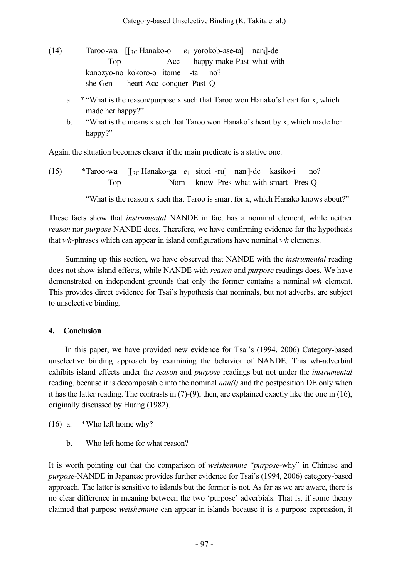- (14) Taroo-wa [[RC Hanako-o *e*<sup>i</sup> yorokob-ase-ta] nani]-de -Top -Acc happy-make-Past what-with kanozyo-no kokoro-o itome -ta no? she-Gen heart-Acc conquer -Past Q
	- a. \* "What is the reason/purpose x such that Taroo won Hanako's heart for x, which made her happy?"
	- b. "What is the means x such that Taroo won Hanako's heart by x, which made her happy?"

Again, the situation becomes clearer if the main predicate is a stative one.

(15) \*Taroo-wa [[RC Hanako-ga *e*<sup>i</sup> sittei -ru] nani]-de kasiko-i no? -Top -Nom know -Pres what-with smart -Pres Q

"What is the reason x such that Taroo is smart for x, which Hanako knows about?"

These facts show that *instrumental* NANDE in fact has a nominal element, while neither *reason* nor *purpose* NANDE does. Therefore, we have confirming evidence for the hypothesis that *wh*-phrases which can appear in island configurations have nominal *wh* elements.

Summing up this section, we have observed that NANDE with the *instrumental* reading does not show island effects, while NANDE with *reason* and *purpose* readings does. We have demonstrated on independent grounds that only the former contains a nominal *wh* element. This provides direct evidence for Tsai's hypothesis that nominals, but not adverbs, are subject to unselective binding.

# **4. Conclusion**

In this paper, we have provided new evidence for Tsai's (1994, 2006) Category-based unselective binding approach by examining the behavior of NANDE. This wh-adverbial exhibits island effects under the *reason* and *purpose* readings but not under the *instrumental* reading, because it is decomposable into the nominal *nan(i)* and the postposition DE only when it has the latter reading. The contrasts in (7)-(9), then, are explained exactly like the one in (16), originally discussed by Huang (1982).

- (16) a. \*Who left home why?
	- b. Who left home for what reason?

It is worth pointing out that the comparison of *weishennme* "*purpose-*why" in Chinese and *purpose-*NANDE in Japanese provides further evidence for Tsai's (1994, 2006) category-based approach. The latter is sensitive to islands but the former is not. As far as we are aware, there is no clear difference in meaning between the two 'purpose' adverbials. That is, if some theory claimed that purpose *weishennme* can appear in islands because it is a purpose expression, it